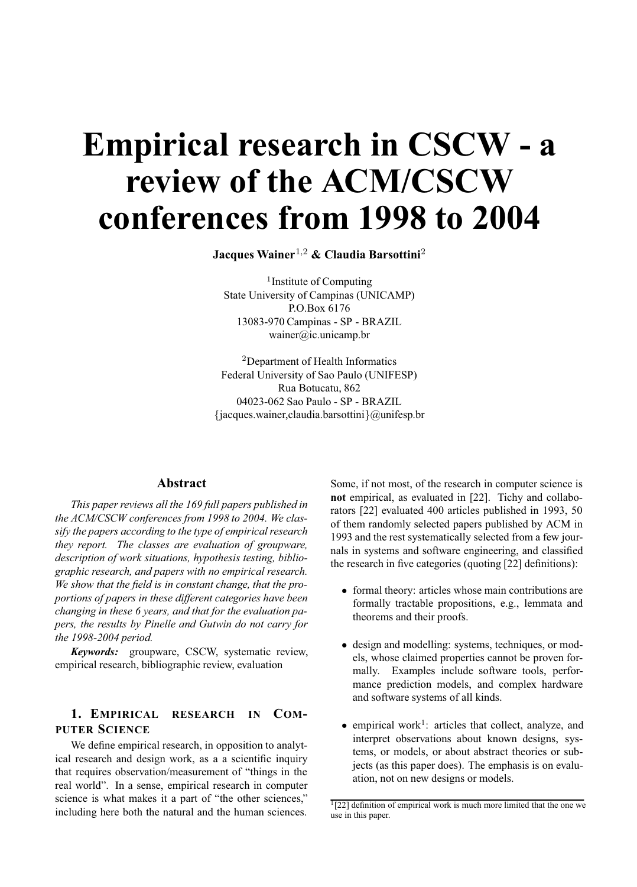# **Empirical research in CSCW - a review of the ACM/CSCW conferences from 1998 to 2004**

**Jacques Wainer**1,<sup>2</sup> **& Claudia Barsottini**<sup>2</sup>

<sup>1</sup>Institute of Computing State University of Campinas (UNICAMP) P.O.Box 6176 13083-970 Campinas - SP - BRAZIL wainer@ic.unicamp.br

<sup>2</sup>Department of Health Informatics Federal University of Sao Paulo (UNIFESP) Rua Botucatu, 862 04023-062 Sao Paulo - SP - BRAZIL {jacques.wainer,claudia.barsottini}@unifesp.br

# **Abstract**

*This paper reviews all the 169 full papers published in the ACM/CSCW conferences from 1998 to 2004. We classify the papers according to the type of empirical research they report. The classes are evaluation of groupware, description of work situations, hypothesis testing, bibliographic research, and papers with no empirical research. We show that the field is in constant change, that the proportions of papers in these different categories have been changing in these 6 years, and that for the evaluation papers, the results by Pinelle and Gutwin do not carry for the 1998-2004 period.*

*Keywords:* groupware, CSCW, systematic review, empirical research, bibliographic review, evaluation

# **1. EMPIRICAL RESEARCH IN COM-PUTER SCIENCE**

We define empirical research, in opposition to analytical research and design work, as a a scientific inquiry that requires observation/measurement of "things in the real world". In a sense, empirical research in computer science is what makes it a part of "the other sciences," including here both the natural and the human sciences.

Some, if not most, of the research in computer science is **not** empirical, as evaluated in [22]. Tichy and collaborators [22] evaluated 400 articles published in 1993, 50 of them randomly selected papers published by ACM in 1993 and the rest systematically selected from a few journals in systems and software engineering, and classified the research in five categories (quoting [22] definitions):

- formal theory: articles whose main contributions are formally tractable propositions, e.g., lemmata and theorems and their proofs.
- design and modelling: systems, techniques, or models, whose claimed properties cannot be proven formally. Examples include software tools, performance prediction models, and complex hardware and software systems of all kinds.
- empirical work<sup>1</sup>: articles that collect, analyze, and interpret observations about known designs, systems, or models, or about abstract theories or subjects (as this paper does). The emphasis is on evaluation, not on new designs or models.

 $\frac{1}{22}$ ] definition of empirical work is much more limited that the one we use in this paper.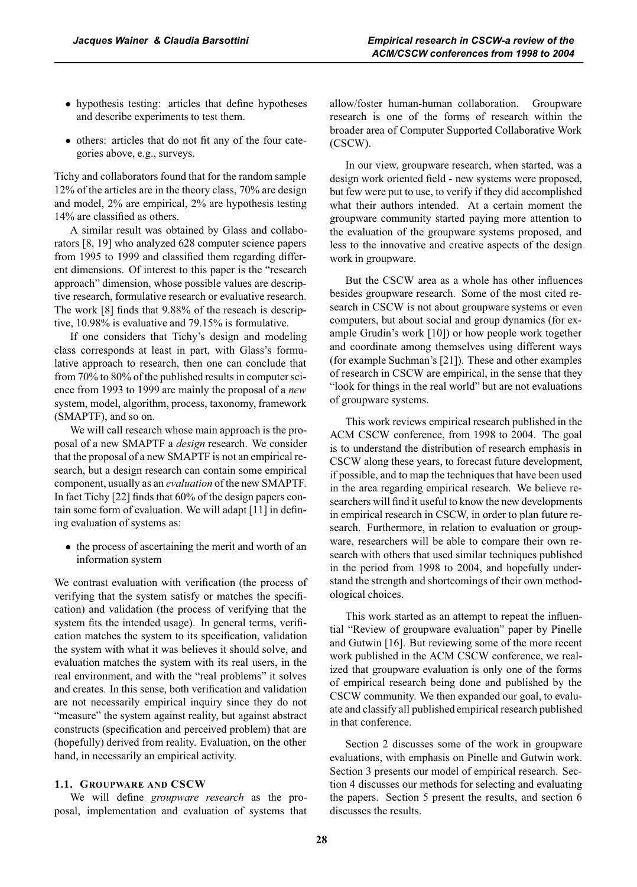- hypothesis testing: articles that define hypotheses and describe experiments to test them.
- others: articles that do not fit any of the four categories above, e.g., surveys.

Tichy and collaborators found that for the random sample 12% of the articles are in the theory class, 70% are design and model, 2% are empirical, 2% are hypothesis testing 14% are classified as others.

A similar result was obtained by Glass and collaborators [8, 19] who analyzed 628 computer science papers from 1995 to 1999 and classified them regarding different dimensions. Of interest to this paper is the "research approach" dimension, whose possible values are descriptive research, formulative research or evaluative research. The work [8] finds that 9.88% of the reseach is descriptive, 10.98% is evaluative and 79.15% is formulative.

If one considers that Tichy's design and modeling class corresponds at least in part, with Glass's formulative approach to research, then one can conclude that from 70% to 80% of the published results in computer science from 1993 to 1999 are mainly the proposal of a *new* system, model, algorithm, process, taxonomy, framework (SMAPTF), and so on.

We will call research whose main approach is the proposal of a new SMAPTF a *design* research. We consider that the proposal of a new SMAPTF is not an empirical research, but a design research can contain some empirical component, usually as an *evaluation* of the new SMAPTF. In fact Tichy [22] finds that 60% of the design papers contain some form of evaluation. We will adapt [11] in defining evaluation of systems as:

• the process of ascertaining the merit and worth of an information system

We contrast evaluation with verification (the process of verifying that the system satisfy or matches the specification) and validation (the process of verifying that the system fits the intended usage). In general terms, verification matches the system to its specification, validation the system with what it was believes it should solve, and evaluation matches the system with its real users, in the real environment, and with the "real problems" it solves and creates. In this sense, both verification and validation are not necessarily empirical inquiry since they do not "measure" the system against reality, but against abstract constructs (specification and perceived problem) that are (hopefully) derived from reality. Evaluation, on the other hand, in necessarily an empirical activity.

### **1.1. GROUPWARE AND CSCW**

We will define *groupware research* as the proposal, implementation and evaluation of systems that allow/foster human-human collaboration. Groupware research is one of the forms of research within the broader area of Computer Supported Collaborative Work (CSCW).

In our view, groupware research, when started, was a design work oriented field - new systems were proposed, but few were put to use, to verify if they did accomplished what their authors intended. At a certain moment the groupware community started paying more attention to the evaluation of the groupware systems proposed, and less to the innovative and creative aspects of the design work in groupware.

But the CSCW area as a whole has other influences besides groupware research. Some of the most cited research in CSCW is not about groupware systems or even computers, but about social and group dynamics (for example Grudin's work [10]) or how people work together and coordinate among themselves using different ways (for example Suchman's [21]). These and other examples of research in CSCW are empirical, in the sense that they "look for things in the real world" but are not evaluations of groupware systems.

This work reviews empirical research published in the ACM CSCW conference, from 1998 to 2004. The goal is to understand the distribution of research emphasis in CSCW along these years, to forecast future development, if possible, and to map the techniques that have been used in the area regarding empirical research. We believe researchers will find it useful to know the new developments in empirical research in CSCW, in order to plan future research. Furthermore, in relation to evaluation or groupware, researchers will be able to compare their own research with others that used similar techniques published in the period from 1998 to 2004, and hopefully understand the strength and shortcomings of their own methodological choices.

This work started as an attempt to repeat the influential "Review of groupware evaluation" paper by Pinelle and Gutwin [16]. But reviewing some of the more recent work published in the ACM CSCW conference, we realized that groupware evaluation is only one of the forms of empirical research being done and published by the CSCW community. We then expanded our goal, to evaluate and classify all published empirical research published in that conference.

Section 2 discusses some of the work in groupware evaluations, with emphasis on Pinelle and Gutwin work. Section 3 presents our model of empirical research. Section 4 discusses our methods for selecting and evaluating the papers. Section 5 present the results, and section 6 discusses the results.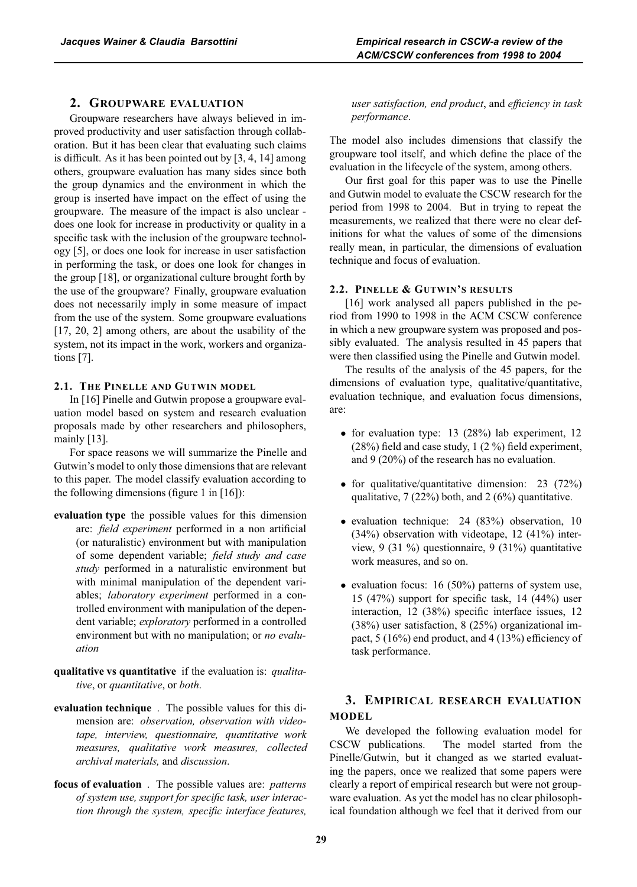## **2. GROUPWARE EVALUATION**

Groupware researchers have always believed in improved productivity and user satisfaction through collaboration. But it has been clear that evaluating such claims is difficult. As it has been pointed out by [3, 4, 14] among others, groupware evaluation has many sides since both the group dynamics and the environment in which the group is inserted have impact on the effect of using the groupware. The measure of the impact is also unclear does one look for increase in productivity or quality in a specific task with the inclusion of the groupware technology [5], or does one look for increase in user satisfaction in performing the task, or does one look for changes in the group [18], or organizational culture brought forth by the use of the groupware? Finally, groupware evaluation does not necessarily imply in some measure of impact from the use of the system. Some groupware evaluations [17, 20, 2] among others, are about the usability of the system, not its impact in the work, workers and organizations [7].

# **2.1. THE PINELLE AND GUTWIN MODEL**

In [16] Pinelle and Gutwin propose a groupware evaluation model based on system and research evaluation proposals made by other researchers and philosophers, mainly [13].

For space reasons we will summarize the Pinelle and Gutwin's model to only those dimensions that are relevant to this paper. The model classify evaluation according to the following dimensions (figure 1 in  $[16]$ ):

- **evaluation type** the possible values for this dimension are: *field experiment* performed in a non artificial (or naturalistic) environment but with manipulation of some dependent variable; *field study and case study* performed in a naturalistic environment but with minimal manipulation of the dependent variables; *laboratory experiment* performed in a controlled environment with manipulation of the dependent variable; *exploratory* performed in a controlled environment but with no manipulation; or *no evaluation*
- **qualitative vs quantitative** if the evaluation is: *qualitative*, or *quantitative*, or *both*.
- **evaluation technique** . The possible values for this dimension are: *observation, observation with videotape, interview, questionnaire, quantitative work measures, qualitative work measures, collected archival materials,* and *discussion*.
- **focus of evaluation** . The possible values are: *patterns of system use, support for specific task, user interaction through the system, specific interface features,*

*user satisfaction, end product*, and *efficiency in task performance*.

The model also includes dimensions that classify the groupware tool itself, and which define the place of the evaluation in the lifecycle of the system, among others.

Our first goal for this paper was to use the Pinelle and Gutwin model to evaluate the CSCW research for the period from 1998 to 2004. But in trying to repeat the measurements, we realized that there were no clear definitions for what the values of some of the dimensions really mean, in particular, the dimensions of evaluation technique and focus of evaluation.

### **2.2. PINELLE & GUTWIN'S RESULTS**

[16] work analysed all papers published in the period from 1990 to 1998 in the ACM CSCW conference in which a new groupware system was proposed and possibly evaluated. The analysis resulted in 45 papers that were then classified using the Pinelle and Gutwin model.

The results of the analysis of the 45 papers, for the dimensions of evaluation type, qualitative/quantitative, evaluation technique, and evaluation focus dimensions, are:

- for evaluation type: 13 (28%) lab experiment, 12 (28%) field and case study, 1 (2 %) field experiment, and 9 (20%) of the research has no evaluation.
- for qualitative/quantitative dimension: 23 (72%) qualitative,  $7(22%)$  both, and  $2(6%)$  quantitative.
- evaluation technique: 24 (83%) observation, 10 (34%) observation with videotape, 12 (41%) interview, 9 (31 %) questionnaire, 9 (31%) quantitative work measures, and so on.
- evaluation focus: 16 (50%) patterns of system use, 15 (47%) support for specific task, 14 (44%) user interaction, 12 (38%) specific interface issues, 12 (38%) user satisfaction, 8 (25%) organizational impact, 5 (16%) end product, and 4 (13%) efficiency of task performance.

# **3. EMPIRICAL RESEARCH EVALUATION MODEL**

We developed the following evaluation model for CSCW publications. The model started from the Pinelle/Gutwin, but it changed as we started evaluating the papers, once we realized that some papers were clearly a report of empirical research but were not groupware evaluation. As yet the model has no clear philosophical foundation although we feel that it derived from our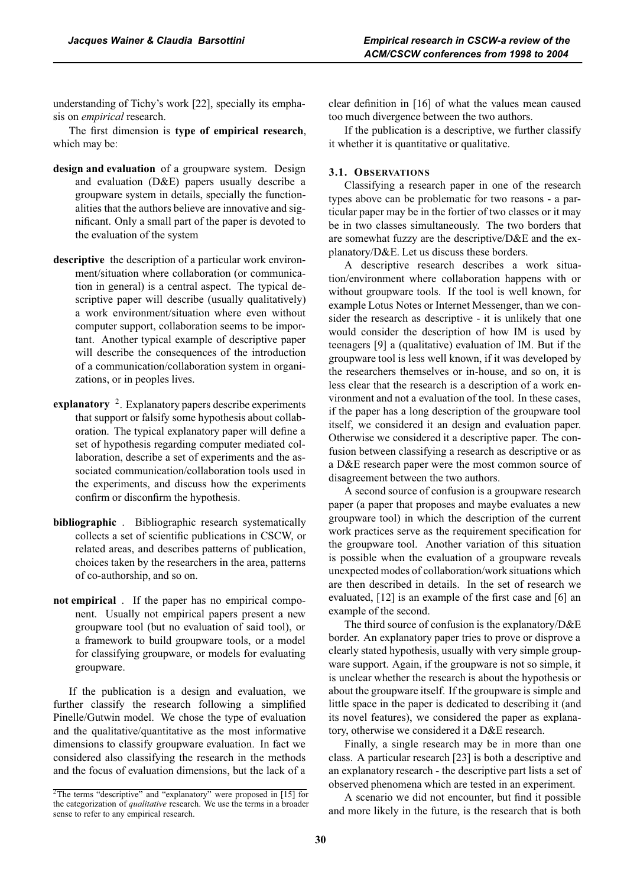understanding of Tichy's work [22], specially its emphasis on *empirical* research.

The first dimension is **type of empirical research**, which may be:

- **design and evaluation** of a groupware system. Design and evaluation (D&E) papers usually describe a groupware system in details, specially the functionalities that the authors believe are innovative and significant. Only a small part of the paper is devoted to the evaluation of the system
- **descriptive** the description of a particular work environment/situation where collaboration (or communication in general) is a central aspect. The typical descriptive paper will describe (usually qualitatively) a work environment/situation where even without computer support, collaboration seems to be important. Another typical example of descriptive paper will describe the consequences of the introduction of a communication/collaboration system in organizations, or in peoples lives.
- explanatory <sup>2</sup>. Explanatory papers describe experiments that support or falsify some hypothesis about collaboration. The typical explanatory paper will define a set of hypothesis regarding computer mediated collaboration, describe a set of experiments and the associated communication/collaboration tools used in the experiments, and discuss how the experiments confirm or disconfirm the hypothesis.
- **bibliographic** . Bibliographic research systematically collects a set of scientific publications in CSCW, or related areas, and describes patterns of publication, choices taken by the researchers in the area, patterns of co-authorship, and so on.
- **not empirical** . If the paper has no empirical component. Usually not empirical papers present a new groupware tool (but no evaluation of said tool), or a framework to build groupware tools, or a model for classifying groupware, or models for evaluating groupware.

If the publication is a design and evaluation, we further classify the research following a simplified Pinelle/Gutwin model. We chose the type of evaluation and the qualitative/quantitative as the most informative dimensions to classify groupware evaluation. In fact we considered also classifying the research in the methods and the focus of evaluation dimensions, but the lack of a

clear definition in [16] of what the values mean caused too much divergence between the two authors.

If the publication is a descriptive, we further classify it whether it is quantitative or qualitative.

#### **3.1. OBSERVATIONS**

Classifying a research paper in one of the research types above can be problematic for two reasons - a particular paper may be in the fortier of two classes or it may be in two classes simultaneously. The two borders that are somewhat fuzzy are the descriptive/D&E and the explanatory/D&E. Let us discuss these borders.

A descriptive research describes a work situation/environment where collaboration happens with or without groupware tools. If the tool is well known, for example Lotus Notes or Internet Messenger, than we consider the research as descriptive - it is unlikely that one would consider the description of how IM is used by teenagers [9] a (qualitative) evaluation of IM. But if the groupware tool is less well known, if it was developed by the researchers themselves or in-house, and so on, it is less clear that the research is a description of a work environment and not a evaluation of the tool. In these cases, if the paper has a long description of the groupware tool itself, we considered it an design and evaluation paper. Otherwise we considered it a descriptive paper. The confusion between classifying a research as descriptive or as a D&E research paper were the most common source of disagreement between the two authors.

A second source of confusion is a groupware research paper (a paper that proposes and maybe evaluates a new groupware tool) in which the description of the current work practices serve as the requirement specification for the groupware tool. Another variation of this situation is possible when the evaluation of a groupware reveals unexpected modes of collaboration/work situations which are then described in details. In the set of research we evaluated, [12] is an example of the first case and [6] an example of the second.

The third source of confusion is the explanatory/D&E border. An explanatory paper tries to prove or disprove a clearly stated hypothesis, usually with very simple groupware support. Again, if the groupware is not so simple, it is unclear whether the research is about the hypothesis or about the groupware itself. If the groupware is simple and little space in the paper is dedicated to describing it (and its novel features), we considered the paper as explanatory, otherwise we considered it a D&E research.

Finally, a single research may be in more than one class. A particular research [23] is both a descriptive and an explanatory research - the descriptive part lists a set of observed phenomena which are tested in an experiment.

A scenario we did not encounter, but find it possible and more likely in the future, is the research that is both

<sup>&</sup>lt;sup>2</sup>The terms "descriptive" and "explanatory" were proposed in [15] for the categorization of *qualitative* research. We use the terms in a broader sense to refer to any empirical research.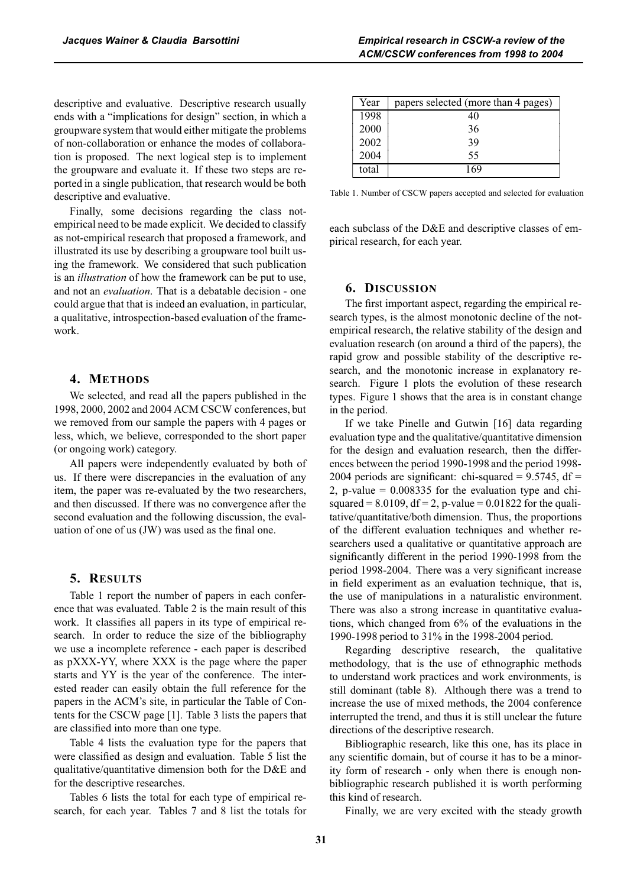descriptive and evaluative. Finally, some decisions regarding the class notempirical need to be made explicit. We decided to classify as not-empirical research that proposed a framework, and illustrated its use by describing a groupware tool built using the framework. We considered that such publication is an *illustration* of how the framework can be put to use, and not an *evaluation*. That is a debatable decision - one could argue that that is indeed an evaluation, in particular, a qualitative, introspection-based evaluation of the framework.

the groupware and evaluate it. If these two steps are reported in a single publication, that research would be both

## **4. METHODS**

We selected, and read all the papers published in the 1998, 2000, 2002 and 2004 ACM CSCW conferences, but we removed from our sample the papers with 4 pages or less, which, we believe, corresponded to the short paper (or ongoing work) category.

All papers were independently evaluated by both of us. If there were discrepancies in the evaluation of any item, the paper was re-evaluated by the two researchers, and then discussed. If there was no convergence after the second evaluation and the following discussion, the evaluation of one of us (JW) was used as the final one.

## **5. RESULTS**

Table 1 report the number of papers in each conference that was evaluated. Table 2 is the main result of this work. It classifies all papers in its type of empirical research. In order to reduce the size of the bibliography we use a incomplete reference - each paper is described as pXXX-YY, where XXX is the page where the paper starts and YY is the year of the conference. The interested reader can easily obtain the full reference for the papers in the ACM's site, in particular the Table of Contents for the CSCW page [1]. Table 3 lists the papers that are classified into more than one type.

Table 4 lists the evaluation type for the papers that were classified as design and evaluation. Table 5 list the qualitative/quantitative dimension both for the D&E and for the descriptive researches.

Tables 6 lists the total for each type of empirical research, for each year. Tables 7 and 8 list the totals for

| Year  | papers selected (more than 4 pages) |
|-------|-------------------------------------|
| 1998  | 40                                  |
| 2000  | 36                                  |
| 2002  | 39                                  |
| 2004  | 55                                  |
| total |                                     |

Table 1. Number of CSCW papers accepted and selected for evaluation

each subclass of the D&E and descriptive classes of empirical research, for each year.

#### **6. DISCUSSION**

The first important aspect, regarding the empirical research types, is the almost monotonic decline of the notempirical research, the relative stability of the design and evaluation research (on around a third of the papers), the rapid grow and possible stability of the descriptive research, and the monotonic increase in explanatory research. Figure 1 plots the evolution of these research types. Figure 1 shows that the area is in constant change in the period.

If we take Pinelle and Gutwin [16] data regarding evaluation type and the qualitative/quantitative dimension for the design and evaluation research, then the differences between the period 1990-1998 and the period 1998- 2004 periods are significant: chi-squared =  $9.5745$ , df = 2, p-value  $= 0.008335$  for the evaluation type and chisquared =  $8.0109$ , df =  $2$ , p-value =  $0.01822$  for the qualitative/quantitative/both dimension. Thus, the proportions of the different evaluation techniques and whether researchers used a qualitative or quantitative approach are significantly different in the period 1990-1998 from the period 1998-2004. There was a very significant increase in field experiment as an evaluation technique, that is, the use of manipulations in a naturalistic environment. There was also a strong increase in quantitative evaluations, which changed from 6% of the evaluations in the 1990-1998 period to 31% in the 1998-2004 period.

Regarding descriptive research, the qualitative methodology, that is the use of ethnographic methods to understand work practices and work environments, is still dominant (table 8). Although there was a trend to increase the use of mixed methods, the 2004 conference interrupted the trend, and thus it is still unclear the future directions of the descriptive research.

Bibliographic research, like this one, has its place in any scientific domain, but of course it has to be a minority form of research - only when there is enough nonbibliographic research published it is worth performing this kind of research.

Finally, we are very excited with the steady growth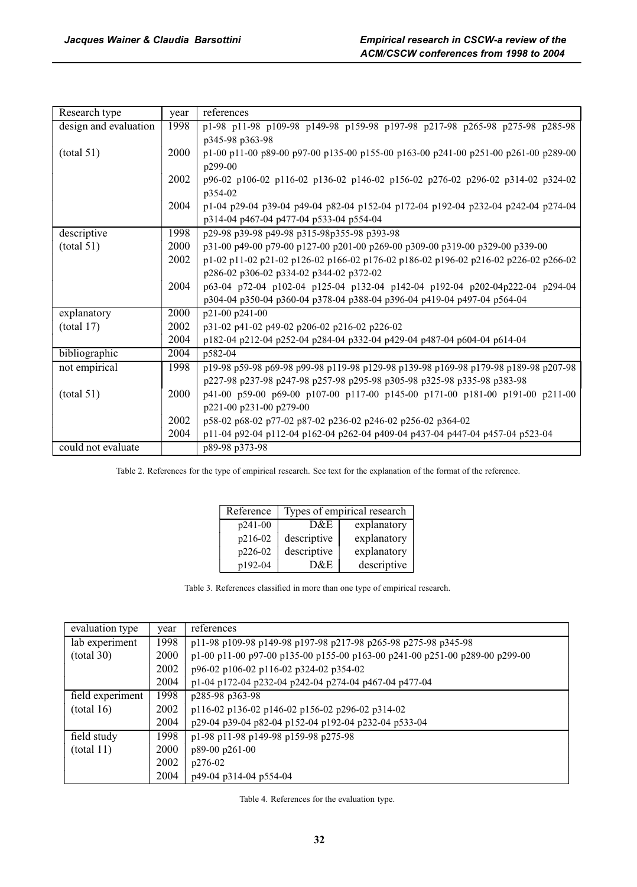| Research type         | year | references                                                                          |  |  |  |  |  |  |  |
|-----------------------|------|-------------------------------------------------------------------------------------|--|--|--|--|--|--|--|
| design and evaluation | 1998 | p1-98 p11-98 p109-98 p149-98 p159-98 p197-98 p217-98 p265-98 p275-98 p285-98        |  |  |  |  |  |  |  |
|                       |      | p345-98 p363-98                                                                     |  |  |  |  |  |  |  |
| (total 51)            | 2000 | p1-00 p11-00 p89-00 p97-00 p135-00 p155-00 p163-00 p241-00 p251-00 p261-00 p289-00  |  |  |  |  |  |  |  |
|                       |      | p299-00                                                                             |  |  |  |  |  |  |  |
|                       | 2002 | p96-02 p106-02 p116-02 p136-02 p146-02 p156-02 p276-02 p296-02 p314-02 p324-02      |  |  |  |  |  |  |  |
|                       |      | p354-02                                                                             |  |  |  |  |  |  |  |
|                       | 2004 | p1-04 p29-04 p39-04 p49-04 p82-04 p152-04 p172-04 p192-04 p232-04 p242-04 p274-04   |  |  |  |  |  |  |  |
|                       |      | p314-04 p467-04 p477-04 p533-04 p554-04                                             |  |  |  |  |  |  |  |
| descriptive           | 1998 | p29-98 p39-98 p49-98 p315-98p355-98 p393-98                                         |  |  |  |  |  |  |  |
| (total 51)            | 2000 | p31-00 p49-00 p79-00 p127-00 p201-00 p269-00 p309-00 p319-00 p329-00 p339-00        |  |  |  |  |  |  |  |
|                       | 2002 | p1-02 p11-02 p21-02 p126-02 p166-02 p176-02 p186-02 p196-02 p216-02 p226-02 p266-02 |  |  |  |  |  |  |  |
|                       |      | p286-02 p306-02 p334-02 p344-02 p372-02                                             |  |  |  |  |  |  |  |
|                       | 2004 | p63-04 p72-04 p102-04 p125-04 p132-04 p142-04 p192-04 p202-04p222-04 p294-04        |  |  |  |  |  |  |  |
|                       |      | p304-04 p350-04 p360-04 p378-04 p388-04 p396-04 p419-04 p497-04 p564-04             |  |  |  |  |  |  |  |
| explanatory           | 2000 | p21-00 p241-00                                                                      |  |  |  |  |  |  |  |
| (total 17)            | 2002 | p31-02 p41-02 p49-02 p206-02 p216-02 p226-02                                        |  |  |  |  |  |  |  |
|                       | 2004 | p182-04 p212-04 p252-04 p284-04 p332-04 p429-04 p487-04 p604-04 p614-04             |  |  |  |  |  |  |  |
| bibliographic         | 2004 | p582-04                                                                             |  |  |  |  |  |  |  |
| not empirical         | 1998 | p19-98 p59-98 p69-98 p99-98 p119-98 p129-98 p139-98 p169-98 p179-98 p189-98 p207-98 |  |  |  |  |  |  |  |
|                       |      | p227-98 p237-98 p247-98 p257-98 p295-98 p305-98 p325-98 p335-98 p383-98             |  |  |  |  |  |  |  |
| (total 51)            | 2000 | p41-00 p59-00 p69-00 p107-00 p117-00 p145-00 p171-00 p181-00 p191-00 p211-00        |  |  |  |  |  |  |  |
|                       |      | p221-00 p231-00 p279-00                                                             |  |  |  |  |  |  |  |
|                       | 2002 | p58-02 p68-02 p77-02 p87-02 p236-02 p246-02 p256-02 p364-02                         |  |  |  |  |  |  |  |
|                       | 2004 | p11-04 p92-04 p112-04 p162-04 p262-04 p409-04 p437-04 p447-04 p457-04 p523-04       |  |  |  |  |  |  |  |
| could not evaluate    |      | p89-98 p373-98                                                                      |  |  |  |  |  |  |  |

Table 2. References for the type of empirical research. See text for the explanation of the format of the reference.

| Reference | Types of empirical research |             |  |  |
|-----------|-----------------------------|-------------|--|--|
| p241-00   | D&E                         | explanatory |  |  |
| p216-02   | descriptive                 | explanatory |  |  |
| p226-02   | descriptive                 | explanatory |  |  |
| p192-04   | D&E                         | descriptive |  |  |

Table 3. References classified in more than one type of empirical research.

| evaluation type  | year | references                                                                  |  |  |  |
|------------------|------|-----------------------------------------------------------------------------|--|--|--|
| lab experiment   | 1998 | p11-98 p109-98 p149-98 p197-98 p217-98 p265-98 p275-98 p345-98              |  |  |  |
| (total 30)       | 2000 | p1-00 p11-00 p97-00 p135-00 p155-00 p163-00 p241-00 p251-00 p289-00 p299-00 |  |  |  |
|                  | 2002 | p96-02 p106-02 p116-02 p324-02 p354-02                                      |  |  |  |
|                  | 2004 | p1-04 p172-04 p232-04 p242-04 p274-04 p467-04 p477-04                       |  |  |  |
| field experiment | 1998 | p285-98 p363-98                                                             |  |  |  |
| (total 16)       | 2002 | p116-02 p136-02 p146-02 p156-02 p296-02 p314-02                             |  |  |  |
|                  | 2004 | p29-04 p39-04 p82-04 p152-04 p192-04 p232-04 p533-04                        |  |  |  |
| field study      | 1998 | p1-98 p11-98 p149-98 p159-98 p275-98                                        |  |  |  |
| (total 11)       | 2000 | p89-00 p261-00                                                              |  |  |  |
|                  | 2002 | p276-02                                                                     |  |  |  |
|                  | 2004 | p49-04 p314-04 p554-04                                                      |  |  |  |

Table 4. References for the evaluation type.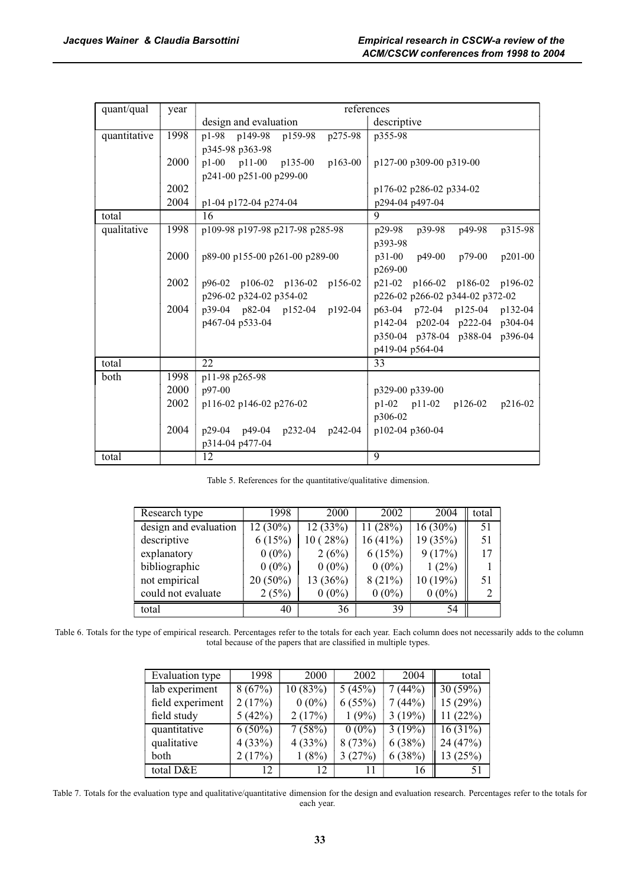| quant/qual   | year | references                              |                                        |  |  |
|--------------|------|-----------------------------------------|----------------------------------------|--|--|
|              |      | design and evaluation                   | descriptive                            |  |  |
| quantitative | 1998 | p149-98 p159-98 p275-98<br>p1-98        | p355-98                                |  |  |
|              |      | p345-98 p363-98                         |                                        |  |  |
|              | 2000 | $p1-00$ $p11-00$ $p135-00$<br>$p163-00$ | p127-00 p309-00 p319-00                |  |  |
|              |      | p241-00 p251-00 p299-00                 |                                        |  |  |
|              | 2002 |                                         | p176-02 p286-02 p334-02                |  |  |
|              | 2004 | p1-04 p172-04 p274-04                   | p294-04 p497-04                        |  |  |
| total        |      | 16<br>9                                 |                                        |  |  |
| qualitative  | 1998 | p109-98 p197-98 p217-98 p285-98         | p49-98<br>p315-98<br>p29-98<br>p39-98  |  |  |
|              |      |                                         | p393-98                                |  |  |
|              | 2000 | p89-00 p155-00 p261-00 p289-00          | p49-00 p79-00<br>$p31-00$<br>$p201-00$ |  |  |
|              |      |                                         | p269-00                                |  |  |
|              | 2002 | p96-02 p106-02 p136-02 p156-02          | p21-02 p166-02 p186-02 p196-02         |  |  |
|              |      | p296-02 p324-02 p354-02                 | p226-02 p266-02 p344-02 p372-02        |  |  |
|              | 2004 | p39-04 p82-04 p152-04 p192-04           | p63-04 p72-04 p125-04 p132-04          |  |  |
|              |      | p467-04 p533-04                         | p142-04 p202-04 p222-04 p304-04        |  |  |
|              |      |                                         | p350-04 p378-04 p388-04 p396-04        |  |  |
|              |      |                                         | p419-04 p564-04                        |  |  |
| total        |      | 22                                      | 33                                     |  |  |
| both         | 1998 | p11-98 p265-98                          |                                        |  |  |
|              | 2000 | $p97-00$                                | p329-00 p339-00                        |  |  |
|              | 2002 | p116-02 p146-02 p276-02                 | $p1-02$ $p11-02$ $p126-02$<br>p216-02  |  |  |
|              |      |                                         | p306-02                                |  |  |
|              | 2004 | p29-04 p49-04 p232-04 p242-04           | p102-04 p360-04                        |  |  |
|              |      | p314-04 p477-04                         |                                        |  |  |
| total        |      | 12                                      | 9                                      |  |  |

Table 5. References for the quantitative/qualitative dimension.

| Research type         | 1998       | 2000     | 2002     | 2004       | total |
|-----------------------|------------|----------|----------|------------|-------|
| design and evaluation | 12 (30%)   | 12(33%)  | 11(28%)  | $16(30\%)$ | 51    |
| descriptive           | 6(15%)     | 10(28%)  | 16(41%)  | 19 (35%)   | 51    |
| explanatory           | $0(0\%)$   | 2(6%)    | 6(15%)   | 9(17%)     | 17    |
| bibliographic         | $0(0\%)$   | $0(0\%)$ | $0(0\%)$ | $1(2\%)$   |       |
| not empirical         | $20(50\%)$ | 13(36%)  | 8(21%)   | 10 (19%)   | 51    |
| could not evaluate    | 2(5%)      | $0(0\%)$ | $0(0\%)$ | $0(0\%)$   | 2     |
| total                 | 40         | 36       | 39       | 54         |       |

Table 6. Totals for the type of empirical research. Percentages refer to the totals for each year. Each column does not necessarily adds to the column total because of the papers that are classified in multiple types.

| Evaluation type  | 1998      | 2000     | 2002       | 2004   | total      |
|------------------|-----------|----------|------------|--------|------------|
| lab experiment   | 8(67%)    | 10(83%)  | 5(45%)     | 7(44%) | 30(59%)    |
| field experiment | 2(17%)    | $0(0\%)$ | 6(55%)     | 7(44%) | 15(29%)    |
| field study      | 5(42%)    | 2(17%)   | 1(9%)      | 3(19%) | 11(22%)    |
| quantitative     | $6(50\%)$ | 7(58%)   | $0(0\%)$   | 3(19%) | $16(31\%)$ |
| qualitative      | 4(33%)    | 4(33%)   | 8(73%)     | 6(38%) | 24 (47%)   |
| both             | 2(17%)    | (8%)     | (27%)<br>3 | 6(38%) | 13(25%)    |
| total D&E        | 12.       | 12       |            | 16     | 51         |

Table 7. Totals for the evaluation type and qualitative/quantitative dimension for the design and evaluation research. Percentages refer to the totals for each year.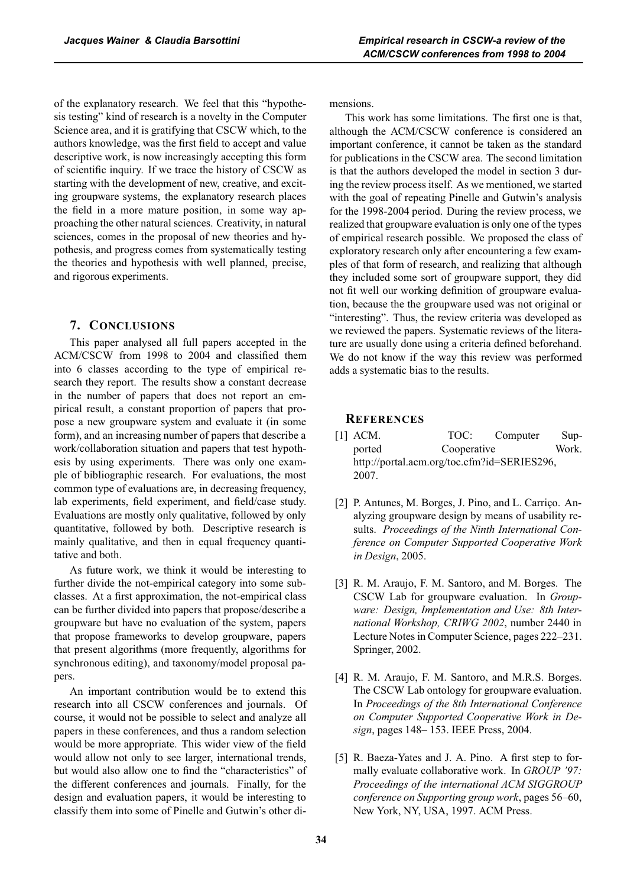of the explanatory research. We feel that this "hypothesis testing" kind of research is a novelty in the Computer Science area, and it is gratifying that CSCW which, to the authors knowledge, was the first field to accept and value descriptive work, is now increasingly accepting this form of scientific inquiry. If we trace the history of CSCW as starting with the development of new, creative, and exciting groupware systems, the explanatory research places the field in a more mature position, in some way approaching the other natural sciences. Creativity, in natural sciences, comes in the proposal of new theories and hypothesis, and progress comes from systematically testing the theories and hypothesis with well planned, precise, and rigorous experiments.

## **7. CONCLUSIONS**

This paper analysed all full papers accepted in the ACM/CSCW from 1998 to 2004 and classified them into 6 classes according to the type of empirical research they report. The results show a constant decrease in the number of papers that does not report an empirical result, a constant proportion of papers that propose a new groupware system and evaluate it (in some form), and an increasing number of papers that describe a work/collaboration situation and papers that test hypothesis by using experiments. There was only one example of bibliographic research. For evaluations, the most common type of evaluations are, in decreasing frequency, lab experiments, field experiment, and field/case study. Evaluations are mostly only qualitative, followed by only quantitative, followed by both. Descriptive research is mainly qualitative, and then in equal frequency quantitative and both.

As future work, we think it would be interesting to further divide the not-empirical category into some subclasses. At a first approximation, the not-empirical class can be further divided into papers that propose/describe a groupware but have no evaluation of the system, papers that propose frameworks to develop groupware, papers that present algorithms (more frequently, algorithms for synchronous editing), and taxonomy/model proposal papers.

An important contribution would be to extend this research into all CSCW conferences and journals. Of course, it would not be possible to select and analyze all papers in these conferences, and thus a random selection would be more appropriate. This wider view of the field would allow not only to see larger, international trends, but would also allow one to find the "characteristics" of the different conferences and journals. Finally, for the design and evaluation papers, it would be interesting to classify them into some of Pinelle and Gutwin's other dimensions.

This work has some limitations. The first one is that, although the ACM/CSCW conference is considered an important conference, it cannot be taken as the standard for publications in the CSCW area. The second limitation is that the authors developed the model in section 3 during the review process itself. As we mentioned, we started with the goal of repeating Pinelle and Gutwin's analysis for the 1998-2004 period. During the review process, we realized that groupware evaluation is only one of the types of empirical research possible. We proposed the class of exploratory research only after encountering a few examples of that form of research, and realizing that although they included some sort of groupware support, they did not fit well our working definition of groupware evaluation, because the the groupware used was not original or "interesting". Thus, the review criteria was developed as we reviewed the papers. Systematic reviews of the literature are usually done using a criteria defined beforehand. We do not know if the way this review was performed adds a systematic bias to the results.

### **REFERENCES**

- [1] ACM. TOC: Computer Supported Cooperative Work. http://portal.acm.org/toc.cfm?id=SERIES296, 2007.
- [2] P. Antunes, M. Borges, J. Pino, and L. Carriço. Analyzing groupware design by means of usability results. *Proceedings of the Ninth International Conference on Computer Supported Cooperative Work in Design*, 2005.
- [3] R. M. Araujo, F. M. Santoro, and M. Borges. The CSCW Lab for groupware evaluation. In *Groupware: Design, Implementation and Use: 8th International Workshop, CRIWG 2002*, number 2440 in Lecture Notes in Computer Science, pages 222–231. Springer, 2002.
- [4] R. M. Araujo, F. M. Santoro, and M.R.S. Borges. The CSCW Lab ontology for groupware evaluation. In *Proceedings of the 8th International Conference on Computer Supported Cooperative Work in Design*, pages 148– 153. IEEE Press, 2004.
- [5] R. Baeza-Yates and J. A. Pino. A first step to formally evaluate collaborative work. In *GROUP '97: Proceedings of the international ACM SIGGROUP conference on Supporting group work*, pages 56–60, New York, NY, USA, 1997. ACM Press.